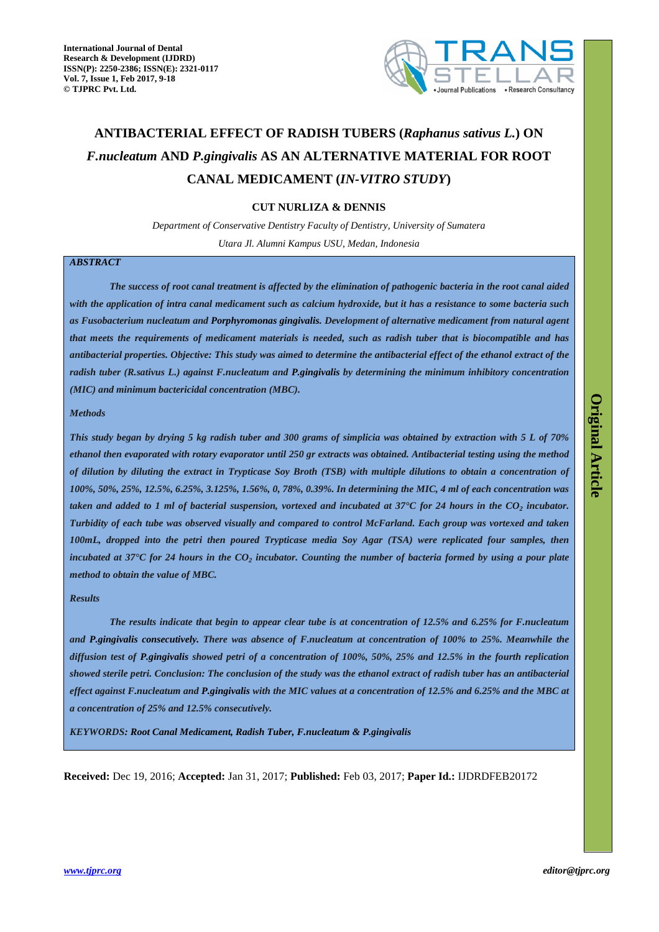

# **ANTIBACTERIAL EFFECT OF RADISH TUBERS (***Raphanus sativus L.***) ON**  *F.nucleatum* **AND** *P.gingivalis* **AS AN ALTERNATIVE MATERIAL FOR ROOT CANAL MEDICAMENT (***IN-VITRO STUDY***)**

## **CUT NURLIZA & DENNIS**

*Department of Conservative Dentistry Faculty of Dentistry, University of Sumatera Utara Jl. Alumni Kampus USU, Medan, Indonesia* 

## *ABSTRACT*

*The success of root canal treatment is affected by the elimination of pathogenic bacteria in the root canal aided with the application of intra canal medicament such as calcium hydroxide, but it has a resistance to some bacteria such as Fusobacterium nucleatum and Porphyromonas gingivalis. Development of alternative medicament from natural agent that meets the requirements of medicament materials is needed, such as radish tuber that is biocompatible and has antibacterial properties. Objective: This study was aimed to determine the antibacterial effect of the ethanol extract of the radish tuber (R.sativus L.) against F.nucleatum and P.gingivalis by determining the minimum inhibitory concentration (MIC) and minimum bactericidal concentration (MBC).* 

#### *Methods*

*This study began by drying 5 kg radish tuber and 300 grams of simplicia was obtained by extraction with 5 L of 70% ethanol then evaporated with rotary evaporator until 250 gr extracts was obtained. Antibacterial testing using the method of dilution by diluting the extract in Trypticase Soy Broth (TSB) with multiple dilutions to obtain a concentration of 100%, 50%, 25%, 12.5%, 6.25%, 3.125%, 1.56%, 0, 78%, 0.39%. In determining the MIC, 4 ml of each concentration was taken and added to 1 ml of bacterial suspension, vortexed and incubated at 37°C for 24 hours in the CO<sup>2</sup> incubator. Turbidity of each tube was observed visually and compared to control McFarland. Each group was vortexed and taken 100mL, dropped into the petri then poured Trypticase media Soy Agar (TSA) were replicated four samples, then*  incubated at 37<sup>°</sup>C for 24 hours in the CO<sub>2</sub> incubator. Counting the number of bacteria formed by using a pour plate *method to obtain the value of MBC.* 

#### *Results*

*The results indicate that begin to appear clear tube is at concentration of 12.5% and 6.25% for F.nucleatum and P.gingivalis consecutively. There was absence of F.nucleatum at concentration of 100% to 25%. Meanwhile the diffusion test of P.gingivalis showed petri of a concentration of 100%, 50%, 25% and 12.5% in the fourth replication showed sterile petri. Conclusion: The conclusion of the study was the ethanol extract of radish tuber has an antibacterial effect against F.nucleatum and P.gingivalis with the MIC values at a concentration of 12.5% and 6.25% and the MBC at a concentration of 25% and 12.5% consecutively.* 

*KEYWORDS: Root Canal Medicament, Radish Tuber, F.nucleatum & P.gingivalis* 

**Received:** Dec 19, 2016; **Accepted:** Jan 31, 2017; **Published:** Feb 03, 2017; **Paper Id.:** IJDRDFEB20172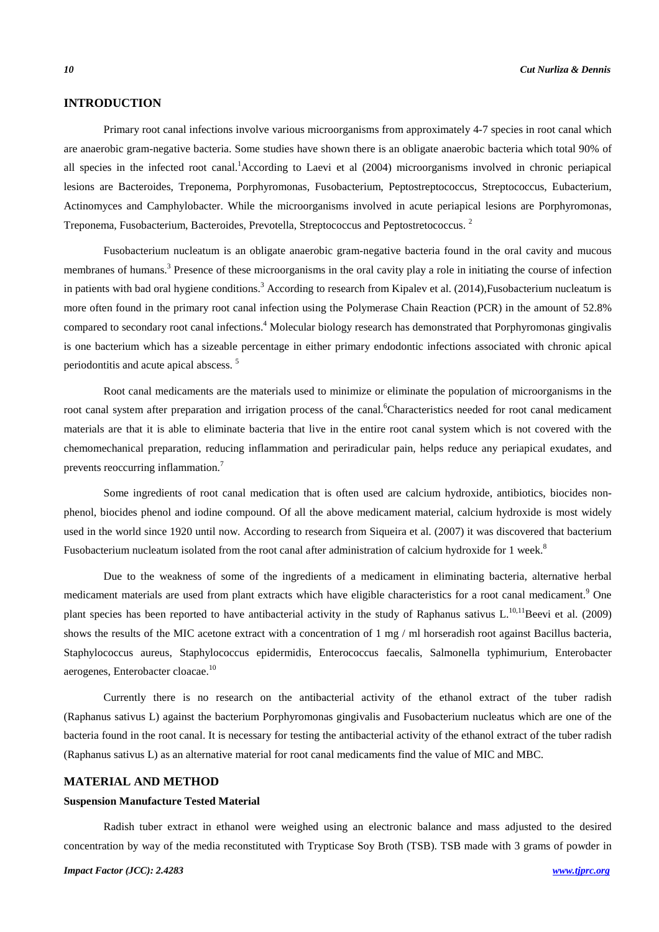## **INTRODUCTION**

Primary root canal infections involve various microorganisms from approximately 4-7 species in root canal which are anaerobic gram-negative bacteria. Some studies have shown there is an obligate anaerobic bacteria which total 90% of all species in the infected root canal.<sup>1</sup>According to Laevi et al  $(2004)$  microorganisms involved in chronic periapical lesions are Bacteroides, Treponema, Porphyromonas, Fusobacterium, Peptostreptococcus, Streptococcus, Eubacterium, Actinomyces and Camphylobacter. While the microorganisms involved in acute periapical lesions are Porphyromonas, Treponema, Fusobacterium, Bacteroides, Prevotella, Streptococcus and Peptostretococcus. <sup>2</sup>

Fusobacterium nucleatum is an obligate anaerobic gram-negative bacteria found in the oral cavity and mucous membranes of humans.<sup>3</sup> Presence of these microorganisms in the oral cavity play a role in initiating the course of infection in patients with bad oral hygiene conditions.<sup>3</sup> According to research from Kipalev et al. (2014), Fusobacterium nucleatum is more often found in the primary root canal infection using the Polymerase Chain Reaction (PCR) in the amount of 52.8% compared to secondary root canal infections.<sup>4</sup> Molecular biology research has demonstrated that Porphyromonas gingivalis is one bacterium which has a sizeable percentage in either primary endodontic infections associated with chronic apical periodontitis and acute apical abscess. <sup>5</sup>

Root canal medicaments are the materials used to minimize or eliminate the population of microorganisms in the root canal system after preparation and irrigation process of the canal.<sup>6</sup>Characteristics needed for root canal medicament materials are that it is able to eliminate bacteria that live in the entire root canal system which is not covered with the chemomechanical preparation, reducing inflammation and periradicular pain, helps reduce any periapical exudates, and prevents reoccurring inflammation.<sup>7</sup>

Some ingredients of root canal medication that is often used are calcium hydroxide, antibiotics, biocides nonphenol, biocides phenol and iodine compound. Of all the above medicament material, calcium hydroxide is most widely used in the world since 1920 until now. According to research from Siqueira et al. (2007) it was discovered that bacterium Fusobacterium nucleatum isolated from the root canal after administration of calcium hydroxide for 1 week.<sup>8</sup>

Due to the weakness of some of the ingredients of a medicament in eliminating bacteria, alternative herbal medicament materials are used from plant extracts which have eligible characteristics for a root canal medicament.<sup>9</sup> One plant species has been reported to have antibacterial activity in the study of Raphanus sativus  $L^{10,11}$ Beevi et al. (2009) shows the results of the MIC acetone extract with a concentration of 1 mg / ml horseradish root against Bacillus bacteria, Staphylococcus aureus, Staphylococcus epidermidis, Enterococcus faecalis, Salmonella typhimurium, Enterobacter aerogenes, Enterobacter cloacae.<sup>10</sup>

Currently there is no research on the antibacterial activity of the ethanol extract of the tuber radish (Raphanus sativus L) against the bacterium Porphyromonas gingivalis and Fusobacterium nucleatus which are one of the bacteria found in the root canal. It is necessary for testing the antibacterial activity of the ethanol extract of the tuber radish (Raphanus sativus L) as an alternative material for root canal medicaments find the value of MIC and MBC.

## **MATERIAL AND METHOD**

#### **Suspension Manufacture Tested Material**

Radish tuber extract in ethanol were weighed using an electronic balance and mass adjusted to the desired concentration by way of the media reconstituted with Trypticase Soy Broth (TSB). TSB made with 3 grams of powder in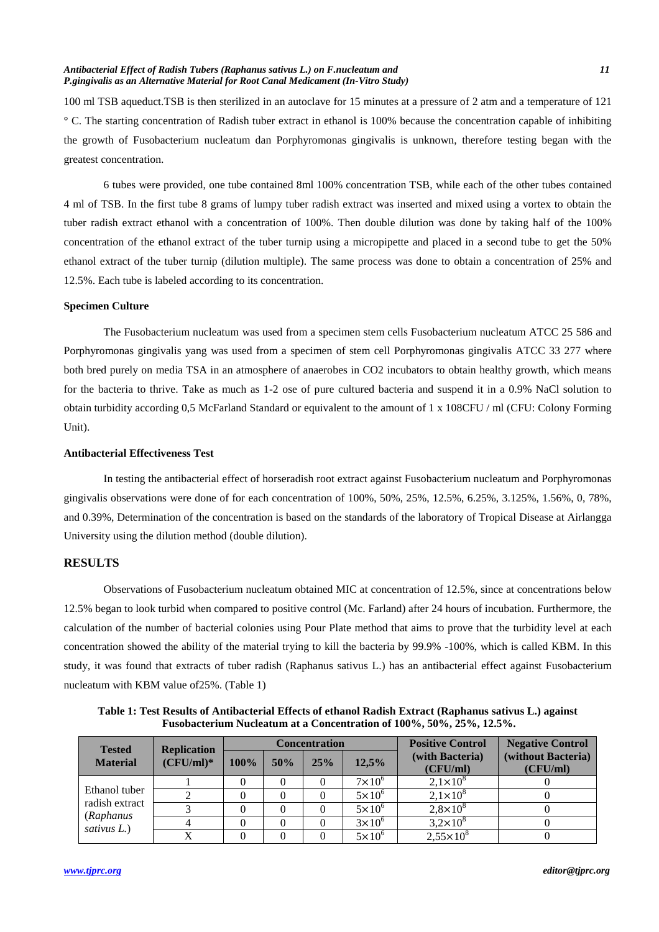#### *Antibacterial Effect of Radish Tubers (Raphanus sativus L.) on F.nucleatum and 11 P.gingivalis as an Alternative Material for Root Canal Medicament (In-Vitro Study)*

100 ml TSB aqueduct.TSB is then sterilized in an autoclave for 15 minutes at a pressure of 2 atm and a temperature of 121 ° C. The starting concentration of Radish tuber extract in ethanol is 100% because the concentration capable of inhibiting the growth of Fusobacterium nucleatum dan Porphyromonas gingivalis is unknown, therefore testing began with the greatest concentration.

6 tubes were provided, one tube contained 8ml 100% concentration TSB, while each of the other tubes contained 4 ml of TSB. In the first tube 8 grams of lumpy tuber radish extract was inserted and mixed using a vortex to obtain the tuber radish extract ethanol with a concentration of 100%. Then double dilution was done by taking half of the 100% concentration of the ethanol extract of the tuber turnip using a micropipette and placed in a second tube to get the 50% ethanol extract of the tuber turnip (dilution multiple). The same process was done to obtain a concentration of 25% and 12.5%. Each tube is labeled according to its concentration.

#### **Specimen Culture**

The Fusobacterium nucleatum was used from a specimen stem cells Fusobacterium nucleatum ATCC 25 586 and Porphyromonas gingivalis yang was used from a specimen of stem cell Porphyromonas gingivalis ATCC 33 277 where both bred purely on media TSA in an atmosphere of anaerobes in CO2 incubators to obtain healthy growth, which means for the bacteria to thrive. Take as much as 1-2 ose of pure cultured bacteria and suspend it in a 0.9% NaCl solution to obtain turbidity according 0,5 McFarland Standard or equivalent to the amount of 1 x 108CFU / ml (CFU: Colony Forming Unit).

## **Antibacterial Effectiveness Test**

In testing the antibacterial effect of horseradish root extract against Fusobacterium nucleatum and Porphyromonas gingivalis observations were done of for each concentration of 100%, 50%, 25%, 12.5%, 6.25%, 3.125%, 1.56%, 0, 78%, and 0.39%, Determination of the concentration is based on the standards of the laboratory of Tropical Disease at Airlangga University using the dilution method (double dilution).

## **RESULTS**

Observations of Fusobacterium nucleatum obtained MIC at concentration of 12.5%, since at concentrations below 12.5% began to look turbid when compared to positive control (Mc. Farland) after 24 hours of incubation. Furthermore, the calculation of the number of bacterial colonies using Pour Plate method that aims to prove that the turbidity level at each concentration showed the ability of the material trying to kill the bacteria by 99.9% -100%, which is called KBM. In this study, it was found that extracts of tuber radish (Raphanus sativus L.) has an antibacterial effect against Fusobacterium nucleatum with KBM value of25%. (Table 1)

**Table 1: Test Results of Antibacterial Effects of ethanol Radish Extract (Raphanus sativus L.) against Fusobacterium Nucleatum at a Concentration of 100%, 50%, 25%, 12.5%.** 

| <b>Tested</b>                                               | <b>Replication</b><br>$(CFU/ml)^*$ | <b>Concentration</b> |     |     |                   | <b>Positive Control</b>     | <b>Negative Control</b>        |
|-------------------------------------------------------------|------------------------------------|----------------------|-----|-----|-------------------|-----------------------------|--------------------------------|
| <b>Material</b>                                             |                                    | 100%                 | 50% | 25% | 12,5%             | (with Bacteria)<br>(CFU/ml) | (without Bacteria)<br>(CFU/ml) |
| Ethanol tuber<br>radish extract<br>(Raphanus<br>sativus L.) |                                    |                      |     |     | $7 \times 10^6$   | $2.1 \times 10^8$           |                                |
|                                                             |                                    |                      |     |     | $5 \times 10^6$   | $2.1 \times 10^8$           |                                |
|                                                             |                                    |                      |     |     | $5 \times 10^{6}$ | $2.8 \times 10^8$           |                                |
|                                                             |                                    |                      |     |     | $3\times10^{6}$   | $3.2 \times 10^8$           |                                |
|                                                             |                                    |                      |     |     | $5 \times 10^6$   | $2,55 \times 10^8$          |                                |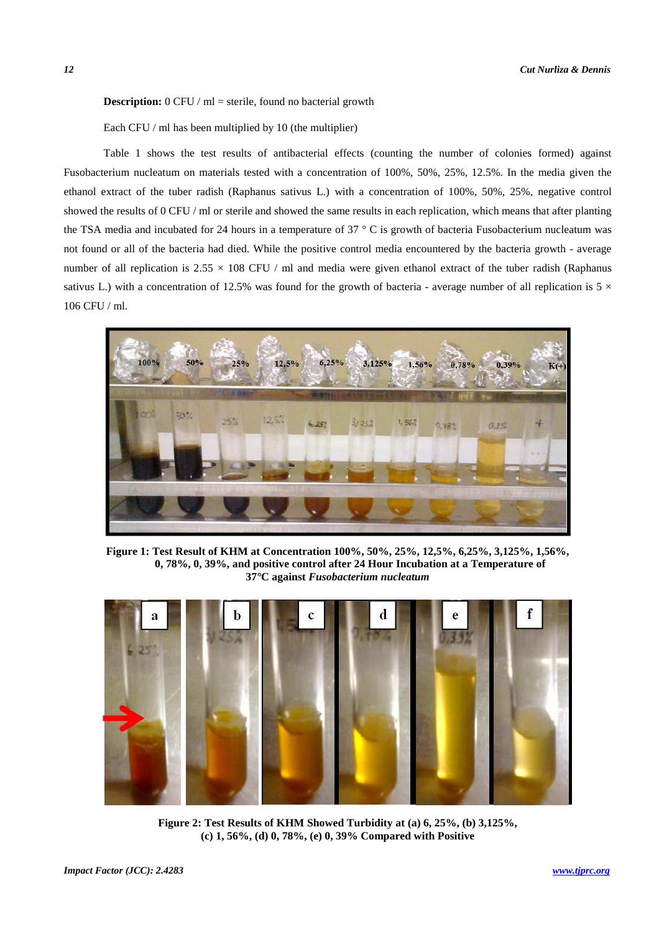## **Description:** 0 CFU / ml = sterile, found no bacterial growth

Each CFU / ml has been multiplied by 10 (the multiplier)

Table 1 shows the test results of antibacterial effects (counting the number of colonies formed) against Fusobacterium nucleatum on materials tested with a concentration of 100%, 50%, 25%, 12.5%. In the media given the ethanol extract of the tuber radish (Raphanus sativus L.) with a concentration of 100%, 50%, 25%, negative control showed the results of 0 CFU / ml or sterile and showed the same results in each replication, which means that after planting the TSA media and incubated for 24 hours in a temperature of  $37 \degree C$  is growth of bacteria Fusobacterium nucleatum was not found or all of the bacteria had died. While the positive control media encountered by the bacteria growth - average number of all replication is  $2.55 \times 108$  CFU / ml and media were given ethanol extract of the tuber radish (Raphanus sativus L.) with a concentration of 12.5% was found for the growth of bacteria - average number of all replication is  $5 \times$ 106 CFU / ml.



**Figure 1: Test Result of KHM at Concentration 100%, 50%, 25%, 12,5%, 6,25%, 3,125%, 1,56%, 0, 78%, 0, 39%, and positive control after 24 Hour Incubation at a Temperature of 37***°***C against** *Fusobacterium nucleatum* 



**Figure 2: Test Results of KHM Showed Turbidity at (a) 6, 25%, (b) 3,125%, (c) 1, 56%, (d) 0, 78%, (e) 0, 39% Compared with Positive**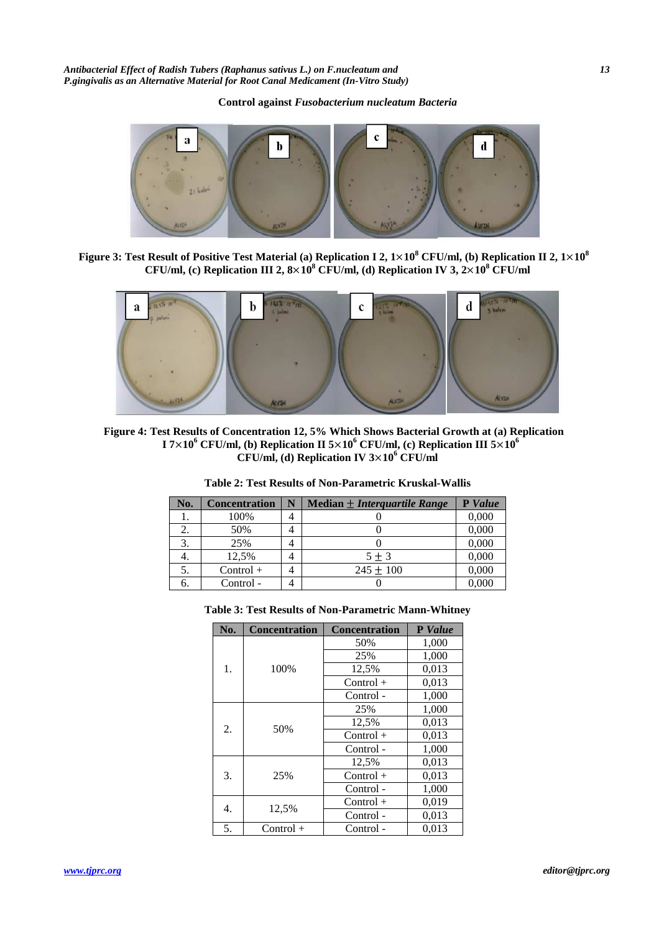*Antibacterial Effect of Radish Tubers (Raphanus sativus L.) on F.nucleatum and 13 P.gingivalis as an Alternative Material for Root Canal Medicament (In-Vitro Study)* 

**Control against** *Fusobacterium nucleatum Bacteria* 



**Figure 3: Test Result of Positive Test Material (a) Replication I 2, 1**×**10<sup>8</sup> CFU/ml, (b) Replication II 2, 1**×**10<sup>8</sup>** CFU/ml, (c) Replication III 2,  $8 \times 10^8$  CFU/ml, (d) Replication IV 3,  $2 \times 10^8$  CFU/ml



**Figure 4: Test Results of Concentration 12, 5% Which Shows Bacterial Growth at (a) Replication I**  $7 \times 10^6$  CFU/ml, (b) Replication II  $5 \times 10^6$  CFU/ml, (c) Replication III  $5 \times 10^6$ **CFU/ml, (d) Replication IV 3**×**10<sup>6</sup> CFU/ml** 

| No. | <b>Concentration</b> | N | Median $\pm$ Interguartile Range | P Value |
|-----|----------------------|---|----------------------------------|---------|
|     | 100%                 |   |                                  | 0,000   |
|     | 50%                  |   |                                  | 0,000   |
| 3.  | 25%                  |   |                                  | 0,000   |
| 4.  | 12,5%                |   | $5 \pm 3$                        | 0,000   |
|     | $Control +$          |   | $245 \pm 100$                    | 0,000   |
| 6.  | Control -            |   |                                  | 0.000   |

| Table 2: Test Results of Non-Parametric Kruskal-Wallis |  |
|--------------------------------------------------------|--|
|--------------------------------------------------------|--|

| No. | <b>Concentration</b> | <b>Concentration</b> | P Value |
|-----|----------------------|----------------------|---------|
|     |                      | 50%                  | 1,000   |
|     |                      | 25%                  | 1,000   |
| 1.  | 100%                 | 12,5%                | 0,013   |
|     |                      | $Control +$          | 0,013   |
|     |                      | Control -            | 1,000   |
|     |                      | 25%                  | 1,000   |
| 2.  | 50%                  | 12,5%                | 0,013   |
|     |                      | $Control +$          | 0,013   |
|     |                      | Control -            | 1,000   |
|     |                      | 12,5%                | 0,013   |
| 3.  | 25%                  | $Control +$          | 0,013   |
|     |                      | Control -            | 1,000   |
| 4.  | 12,5%                | $Control +$          | 0,019   |
|     |                      | Control -            | 0,013   |
| 5.  | $Control +$          | Control-             | 0,013   |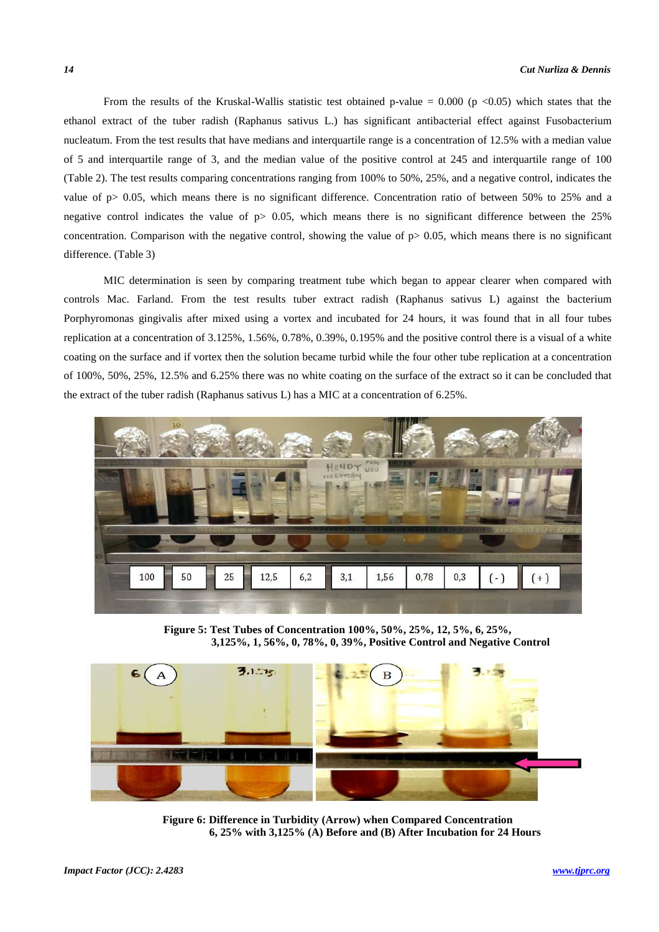From the results of the Kruskal-Wallis statistic test obtained p-value =  $0.000$  (p <0.05) which states that the ethanol extract of the tuber radish (Raphanus sativus L.) has significant antibacterial effect against Fusobacterium nucleatum. From the test results that have medians and interquartile range is a concentration of 12.5% with a median value of 5 and interquartile range of 3, and the median value of the positive control at 245 and interquartile range of 100 (Table 2). The test results comparing concentrations ranging from 100% to 50%, 25%, and a negative control, indicates the value of p> 0.05, which means there is no significant difference. Concentration ratio of between 50% to 25% and a negative control indicates the value of  $p$  = 0.05, which means there is no significant difference between the 25% concentration. Comparison with the negative control, showing the value of  $p > 0.05$ , which means there is no significant difference. (Table 3)

MIC determination is seen by comparing treatment tube which began to appear clearer when compared with controls Mac. Farland. From the test results tuber extract radish (Raphanus sativus L) against the bacterium Porphyromonas gingivalis after mixed using a vortex and incubated for 24 hours, it was found that in all four tubes replication at a concentration of 3.125%, 1.56%, 0.78%, 0.39%, 0.195% and the positive control there is a visual of a white coating on the surface and if vortex then the solution became turbid while the four other tube replication at a concentration of 100%, 50%, 25%, 12.5% and 6.25% there was no white coating on the surface of the extract so it can be concluded that the extract of the tuber radish (Raphanus sativus L) has a MIC at a concentration of 6.25%.



**Figure 5: Test Tubes of Concentration 100%, 50%, 25%, 12, 5%, 6, 25%, 3,125%, 1, 56%, 0, 78%, 0, 39%, Positive Control and Negative Control** 



**Figure 6: Difference in Turbidity (Arrow) when Compared Concentration 6, 25% with 3,125% (A) Before and (B) After Incubation for 24 Hours**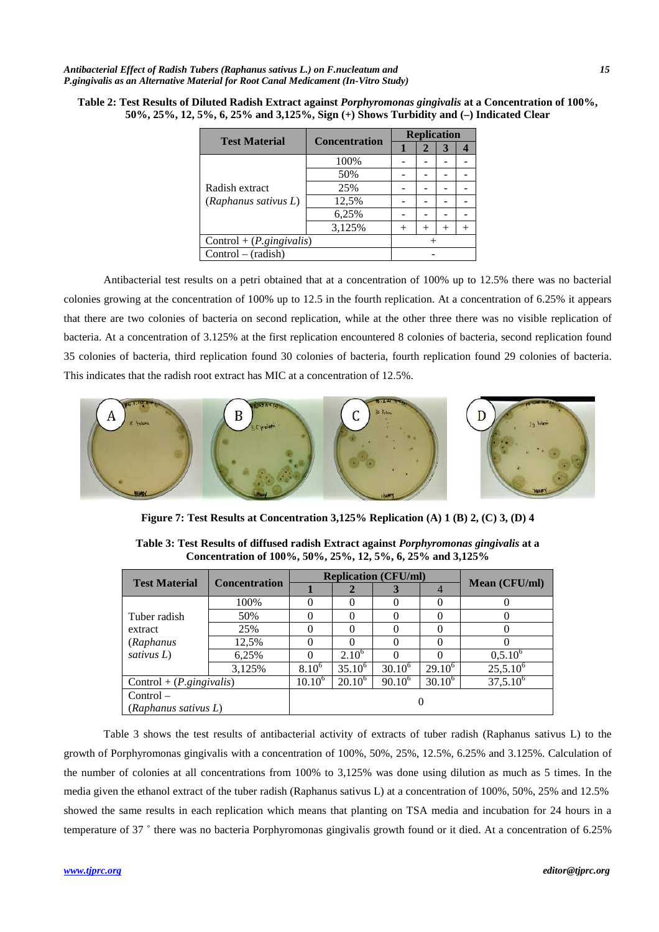|  |                                                                                           |  | Table 2: Test Results of Diluted Radish Extract against <i>Porphyromonas gingivalis</i> at a Concentration of 100%, |  |
|--|-------------------------------------------------------------------------------------------|--|---------------------------------------------------------------------------------------------------------------------|--|
|  | 50%, 25%, 12, 5%, 6, 25% and 3,125%, Sign $(+)$ Shows Turbidity and $(-)$ Indicated Clear |  |                                                                                                                     |  |

| <b>Test Material</b>        | <b>Concentration</b> | <b>Replication</b> |        |   |  |
|-----------------------------|----------------------|--------------------|--------|---|--|
|                             |                      |                    |        | 3 |  |
|                             | 100%                 |                    |        |   |  |
|                             | 50%                  |                    |        |   |  |
| Radish extract              | 25%                  |                    |        |   |  |
| (Raphanus sativus L)        | 12,5%                |                    |        |   |  |
|                             | 6,25%                |                    |        |   |  |
|                             | 3,125%               | $^+$               | $^{+}$ |   |  |
| Control + $(P, gingivalis)$ |                      |                    |        |   |  |
| $Control - (radish)$        |                      |                    |        |   |  |

Antibacterial test results on a petri obtained that at a concentration of 100% up to 12.5% there was no bacterial colonies growing at the concentration of 100% up to 12.5 in the fourth replication. At a concentration of 6.25% it appears that there are two colonies of bacteria on second replication, while at the other three there was no visible replication of bacteria. At a concentration of 3.125% at the first replication encountered 8 colonies of bacteria, second replication found 35 colonies of bacteria, third replication found 30 colonies of bacteria, fourth replication found 29 colonies of bacteria. This indicates that the radish root extract has MIC at a concentration of 12.5%.



**Figure 7: Test Results at Concentration 3,125% Replication (A) 1 (B) 2, (C) 3, (D) 4** 

|  |                                                            |  | Table 3: Test Results of diffused radish Extract against Porphyromonas gingivalis at a |
|--|------------------------------------------------------------|--|----------------------------------------------------------------------------------------|
|  | Concentration of 100%, 50%, 25%, 12, 5%, 6, 25% and 3,125% |  |                                                                                        |

| <b>Test Material</b>          | <b>Concentration</b> |                | <b>Replication (CFU/ml)</b> |             |                 |                   |  |
|-------------------------------|----------------------|----------------|-----------------------------|-------------|-----------------|-------------------|--|
|                               |                      |                |                             |             |                 | Mean (CFU/ml)     |  |
|                               | 100%                 | 0              |                             |             |                 |                   |  |
| Tuber radish                  | 50%                  | $\Omega$       |                             |             |                 |                   |  |
| extract                       | 25%                  | 0              |                             |             |                 |                   |  |
| <i>(Raphanus</i>              | 12,5%                | $\theta$       |                             |             |                 |                   |  |
| sativus L)                    | 6,25%                | 0              | $2.10^{6}$                  |             |                 | $0.5.10^{6}$      |  |
|                               | 3,125%               | $8.10^{\circ}$ | $35.10^{6}$                 | $30.10^{6}$ | $29.10^{6}$     | $25,5.10^6$       |  |
| Control + $(P_{.}gingivalis)$ |                      | $10.10^6$      | $20.10^6$                   | $90.10^6$   | $30.10^{\circ}$ | $37,5.10^{\circ}$ |  |
| $Control -$                   |                      |                |                             |             |                 |                   |  |
| (Raphanus sativus L)          |                      |                |                             |             |                 |                   |  |

 Table 3 shows the test results of antibacterial activity of extracts of tuber radish (Raphanus sativus L) to the growth of Porphyromonas gingivalis with a concentration of 100%, 50%, 25%, 12.5%, 6.25% and 3.125%. Calculation of the number of colonies at all concentrations from 100% to 3,125% was done using dilution as much as 5 times. In the media given the ethanol extract of the tuber radish (Raphanus sativus L) at a concentration of 100%, 50%, 25% and 12.5% showed the same results in each replication which means that planting on TSA media and incubation for 24 hours in a temperature of 37 ˚ there was no bacteria Porphyromonas gingivalis growth found or it died. At a concentration of 6.25%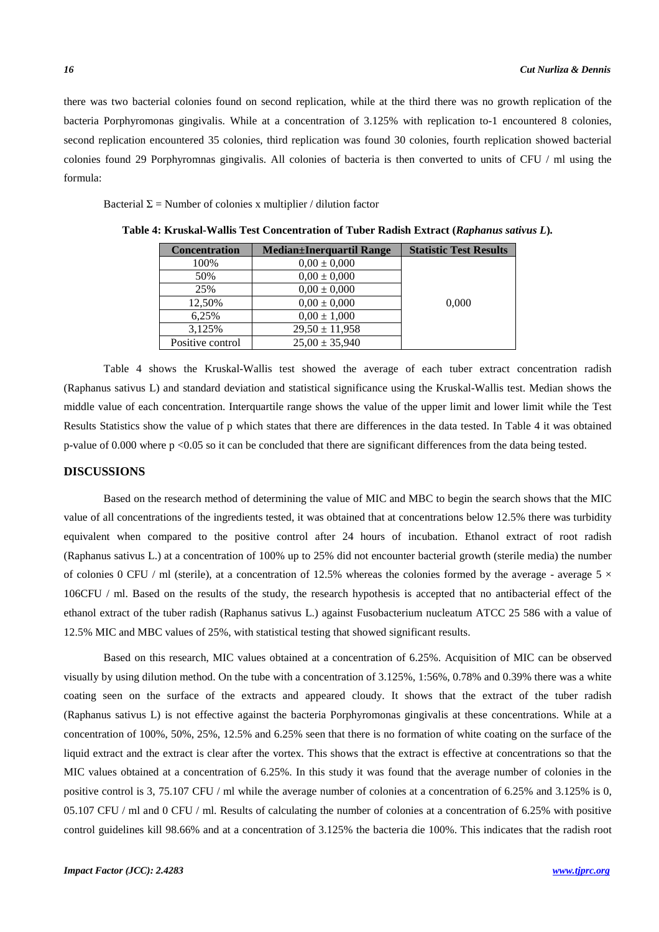there was two bacterial colonies found on second replication, while at the third there was no growth replication of the bacteria Porphyromonas gingivalis. While at a concentration of 3.125% with replication to-1 encountered 8 colonies, second replication encountered 35 colonies, third replication was found 30 colonies, fourth replication showed bacterial colonies found 29 Porphyromnas gingivalis. All colonies of bacteria is then converted to units of CFU / ml using the formula:

Bacterial  $\Sigma$  = Number of colonies x multiplier / dilution factor

| <b>Concentration</b> | <b>Median±Inerquartil Range</b> | <b>Statistic Test Results</b> |
|----------------------|---------------------------------|-------------------------------|
| 100%                 | $0,00 \pm 0,000$                |                               |
| 50%                  | $0.00 \pm 0.000$                |                               |
| 25%                  | $0.00 \pm 0.000$                |                               |
| 12,50%               | $0.00 \pm 0.000$                | 0,000                         |
| 6,25%                | $0.00 \pm 1.000$                |                               |
| 3.125%               | $29,50 \pm 11,958$              |                               |
| Positive control     | $25,00 \pm 35,940$              |                               |

**Table 4: Kruskal-Wallis Test Concentration of Tuber Radish Extract (***Raphanus sativus L***)***.*

Table 4 shows the Kruskal-Wallis test showed the average of each tuber extract concentration radish (Raphanus sativus L) and standard deviation and statistical significance using the Kruskal-Wallis test. Median shows the middle value of each concentration. Interquartile range shows the value of the upper limit and lower limit while the Test Results Statistics show the value of p which states that there are differences in the data tested. In Table 4 it was obtained p-value of 0.000 where p <0.05 so it can be concluded that there are significant differences from the data being tested.

### **DISCUSSIONS**

 Based on the research method of determining the value of MIC and MBC to begin the search shows that the MIC value of all concentrations of the ingredients tested, it was obtained that at concentrations below 12.5% there was turbidity equivalent when compared to the positive control after 24 hours of incubation. Ethanol extract of root radish (Raphanus sativus L.) at a concentration of 100% up to 25% did not encounter bacterial growth (sterile media) the number of colonies 0 CFU / ml (sterile), at a concentration of 12.5% whereas the colonies formed by the average - average 5  $\times$ 106CFU / ml. Based on the results of the study, the research hypothesis is accepted that no antibacterial effect of the ethanol extract of the tuber radish (Raphanus sativus L.) against Fusobacterium nucleatum ATCC 25 586 with a value of 12.5% MIC and MBC values of 25%, with statistical testing that showed significant results.

 Based on this research, MIC values obtained at a concentration of 6.25%. Acquisition of MIC can be observed visually by using dilution method. On the tube with a concentration of 3.125%, 1:56%, 0.78% and 0.39% there was a white coating seen on the surface of the extracts and appeared cloudy. It shows that the extract of the tuber radish (Raphanus sativus L) is not effective against the bacteria Porphyromonas gingivalis at these concentrations. While at a concentration of 100%, 50%, 25%, 12.5% and 6.25% seen that there is no formation of white coating on the surface of the liquid extract and the extract is clear after the vortex. This shows that the extract is effective at concentrations so that the MIC values obtained at a concentration of 6.25%. In this study it was found that the average number of colonies in the positive control is 3, 75.107 CFU / ml while the average number of colonies at a concentration of 6.25% and 3.125% is 0, 05.107 CFU / ml and 0 CFU / ml. Results of calculating the number of colonies at a concentration of 6.25% with positive control guidelines kill 98.66% and at a concentration of 3.125% the bacteria die 100%. This indicates that the radish root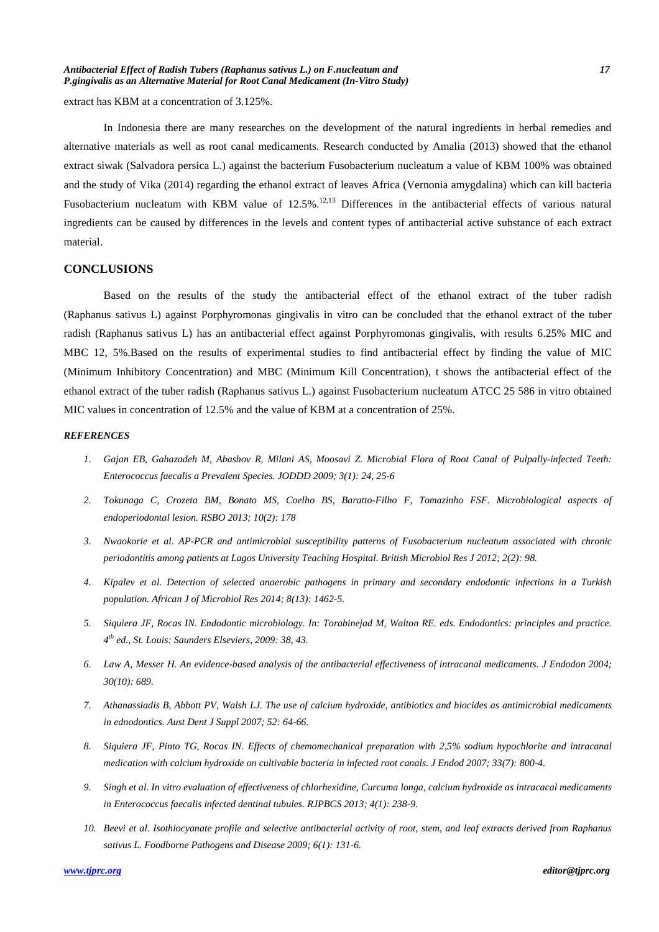extract has KBM at a concentration of 3.125%.

 In Indonesia there are many researches on the development of the natural ingredients in herbal remedies and alternative materials as well as root canal medicaments. Research conducted by Amalia (2013) showed that the ethanol extract siwak (Salvadora persica L.) against the bacterium Fusobacterium nucleatum a value of KBM 100% was obtained and the study of Vika (2014) regarding the ethanol extract of leaves Africa (Vernonia amygdalina) which can kill bacteria Fusobacterium nucleatum with KBM value of  $12.5\%$ ,  $^{12,13}$  Differences in the antibacterial effects of various natural ingredients can be caused by differences in the levels and content types of antibacterial active substance of each extract material.

#### **CONCLUSIONS**

 Based on the results of the study the antibacterial effect of the ethanol extract of the tuber radish (Raphanus sativus L) against Porphyromonas gingivalis in vitro can be concluded that the ethanol extract of the tuber radish (Raphanus sativus L) has an antibacterial effect against Porphyromonas gingivalis, with results 6.25% MIC and MBC 12, 5%.Based on the results of experimental studies to find antibacterial effect by finding the value of MIC (Minimum Inhibitory Concentration) and MBC (Minimum Kill Concentration), t shows the antibacterial effect of the ethanol extract of the tuber radish (Raphanus sativus L.) against Fusobacterium nucleatum ATCC 25 586 in vitro obtained MIC values in concentration of 12.5% and the value of KBM at a concentration of 25%.

### *REFERENCES*

- *1. Gajan EB, Gahazadeh M, Abashov R, Milani AS, Moosavi Z. Microbial Flora of Root Canal of Pulpally-infected Teeth: Enterococcus faecalis a Prevalent Species. JODDD 2009; 3(1): 24, 25-6*
- *2. Tokunaga C, Crozeta BM, Bonato MS, Coelho BS, Baratto-Filho F, Tomazinho FSF. Microbiological aspects of endoperiodontal lesion. RSBO 2013; 10(2): 178*
- *3. Nwaokorie et al. AP-PCR and antimicrobial susceptibility patterns of Fusobacterium nucleatum associated with chronic periodontitis among patients at Lagos University Teaching Hospital. British Microbiol Res J 2012; 2(2): 98.*
- *4. Kipalev et al. Detection of selected anaerobic pathogens in primary and secondary endodontic infections in a Turkish population. African J of Microbiol Res 2014; 8(13): 1462-5.*
- *5. Siquiera JF, Rocas IN. Endodontic microbiology. In: Torabinejad M, Walton RE. eds. Endodontics: principles and practice. 4 th ed., St. Louis: Saunders Elseviers, 2009: 38, 43.*
- *6. Law A, Messer H. An evidence-based analysis of the antibacterial effectiveness of intracanal medicaments. J Endodon 2004; 30(10): 689.*
- *7. Athanassiadis B, Abbott PV, Walsh LJ. The use of calcium hydroxide, antibiotics and biocides as antimicrobial medicaments in ednodontics. Aust Dent J Suppl 2007; 52: 64-66.*
- *8. Siquiera JF, Pinto TG, Rocas IN. Effects of chemomechanical preparation with 2,5% sodium hypochlorite and intracanal medication with calcium hydroxide on cultivable bacteria in infected root canals. J Endod 2007; 33(7): 800-4.*
- *9. Singh et al. In vitro evaluation of effectiveness of chlorhexidine, Curcuma longa, calcium hydroxide as intracacal medicaments in Enterococcus faecalis infected dentinal tubules. RJPBCS 2013; 4(1): 238-9.*
- *10. Beevi et al. Isothiocyanate profile and selective antibacterial activity of root, stem, and leaf extracts derived from Raphanus sativus L. Foodborne Pathogens and Disease 2009; 6(1): 131-6.*